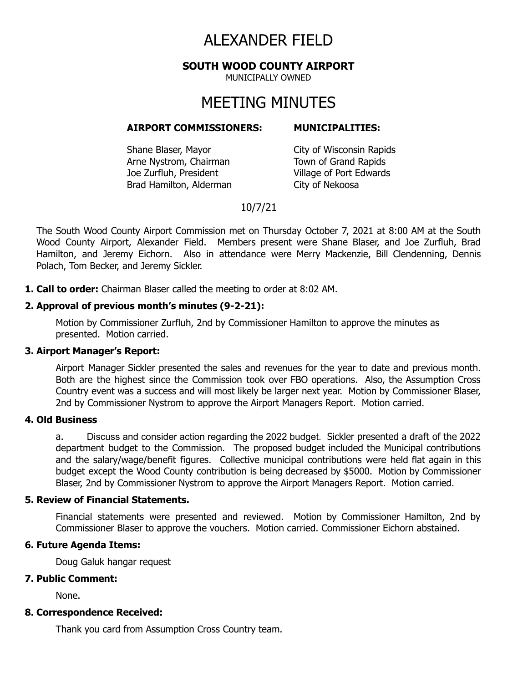# ALEXANDER FIELD

**SOUTH WOOD COUNTY AIRPORT**

MUNICIPALLY OWNED

# MEETING MINUTES

#### **AIRPORT COMMISSIONERS: MUNICIPALITIES:**

Shane Blaser, Mayor City of Wisconsin Rapids Arne Nystrom, Chairman Town of Grand Rapids Joe Zurfluh, President Village of Port Edwards Brad Hamilton, Alderman City of Nekoosa

# 10/7/21

The South Wood County Airport Commission met on Thursday October 7, 2021 at 8:00 AM at the South Wood County Airport, Alexander Field. Members present were Shane Blaser, and Joe Zurfluh, Brad Hamilton, and Jeremy Eichorn. Also in attendance were Merry Mackenzie, Bill Clendenning, Dennis Polach, Tom Becker, and Jeremy Sickler.

**1. Call to order:** Chairman Blaser called the meeting to order at 8:02 AM.

### **2. Approval of previous month's minutes (9-2-21):**

Motion by Commissioner Zurfluh, 2nd by Commissioner Hamilton to approve the minutes as presented. Motion carried.

#### **3. Airport Manager's Report:**

Airport Manager Sickler presented the sales and revenues for the year to date and previous month. Both are the highest since the Commission took over FBO operations. Also, the Assumption Cross Country event was a success and will most likely be larger next year. Motion by Commissioner Blaser, 2nd by Commissioner Nystrom to approve the Airport Managers Report. Motion carried.

#### **4. Old Business**

a. Discuss and consider action regarding the 2022 budget. Sickler presented a draft of the 2022 department budget to the Commission. The proposed budget included the Municipal contributions and the salary/wage/benefit figures. Collective municipal contributions were held flat again in this budget except the Wood County contribution is being decreased by \$5000. Motion by Commissioner Blaser, 2nd by Commissioner Nystrom to approve the Airport Managers Report. Motion carried.

### **5. Review of Financial Statements.**

Financial statements were presented and reviewed. Motion by Commissioner Hamilton, 2nd by Commissioner Blaser to approve the vouchers. Motion carried. Commissioner Eichorn abstained.

## **6. Future Agenda Items:**

Doug Galuk hangar request

#### **7. Public Comment:**

None.

#### **8. Correspondence Received:**

Thank you card from Assumption Cross Country team.